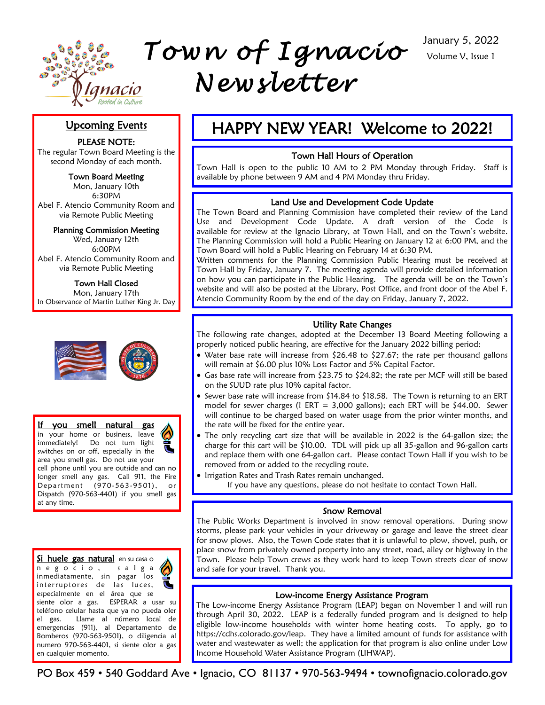

# Upcoming Events

PLEASE NOTE:

The regular Town Board Meeting is the second Monday of each month.

Town Board Meeting

Mon, January 10th 6:30PM Abel F. Atencio Community Room and via Remote Public Meeting

Planning Commission Meeting Wed, January 12th 6:00PM

Abel F. Atencio Community Room and via Remote Public Meeting

Town Hall Closed Mon, January 17th In Observance of Martin Luther King Jr. Day



If you smell natural gas in your home or business, leave immediately! Do not turn light switches on or off, especially in the area you smell gas. Do not use your cell phone until you are outside and can no longer smell any gas. Call 911, the Fire Department (970-563-9501), or Dispatch (970-563-4401) if you smell gas at any time.

Si huele gas natural en su casa o n e g o c i o , s a l g a inmediatamente, sin pagar los interruptores de las luces, especialmente en el área que se siente olor a gas. ESPERAR a usar su teléfono celular hasta que ya no pueda oler el gas. Llame al número local de emergencias (911), al Departamento de Bomberos (970-563-9501), o diligencia al numero 970-563-4401, si siente olor a gas en cualquier momento.

# HAPPY NEW YEAR! Welcome to 2022!

### Town Hall Hours of Operation

Town Hall is open to the public 10 AM to 2 PM Monday through Friday. Staff is available by phone between 9 AM and 4 PM Monday thru Friday.

# Land Use and Development Code Update

The Town Board and Planning Commission have completed their review of the Land Use and Development Code Update. A draft version of the Code is available for review at the Ignacio Library, at Town Hall, and on the Town's website. The Planning Commission will hold a Public Hearing on January 12 at 6:00 PM, and the Town Board will hold a Public Hearing on February 14 at 6:30 PM.

Written comments for the Planning Commission Public Hearing must be received at Town Hall by Friday, January 7. The meeting agenda will provide detailed information on how you can participate in the Public Hearing. The agenda will be on the Town's website and will also be posted at the Library, Post Office, and front door of the Abel F. Atencio Community Room by the end of the day on Friday, January 7, 2022.

# Utility Rate Changes

The following rate changes, adopted at the December 13 Board Meeting following a properly noticed public hearing, are effective for the January 2022 billing period:

- Water base rate will increase from \$26.48 to \$27.67; the rate per thousand gallons will remain at \$6.00 plus 10% Loss Factor and 5% Capital Factor.
- $\bullet$  Gas base rate will increase from \$23.75 to \$24.82; the rate per MCF will still be based on the SUUD rate plus 10% capital factor.
- Sewer base rate will increase from \$14.84 to \$18.58. The Town is returning to an ERT model for sewer charges (1 ERT = 3,000 gallons); each ERT will be \$44.00. Sewer will continue to be charged based on water usage from the prior winter months, and the rate will be fixed for the entire year.
- The only recycling cart size that will be available in 2022 is the 64-gallon size; the charge for this cart will be \$10.00. TDL will pick up all 35-gallon and 96-gallon carts and replace them with one 64-gallon cart. Please contact Town Hall if you wish to be removed from or added to the recycling route.
- **Irrigation Rates and Trash Rates remain unchanged.**

If you have any questions, please do not hesitate to contact Town Hall.

#### Snow Removal

The Public Works Department is involved in snow removal operations. During snow storms, please park your vehicles in your driveway or garage and leave the street clear for snow plows. Also, the Town Code states that it is unlawful to plow, shovel, push, or place snow from privately owned property into any street, road, alley or highway in the Town. Please help Town crews as they work hard to keep Town streets clear of snow and safe for your travel. Thank you.

# Low-income Energy Assistance Program

The Low-income Energy Assistance Program (LEAP) began on November 1 and will run through April 30, 2022. LEAP is a federally funded program and is designed to help eligible low-income households with winter home heating costs. To apply, go to https://cdhs.colorado.gov/leap. They have a limited amount of funds for assistance with water and wastewater as well; the application for that program is also online under Low Income Household Water Assistance Program (LIHWAP).

PO Box 459 • 540 Goddard Ave • Ignacio, CO 81137 • 970-563-9494 • townofignacio.colorado.gov